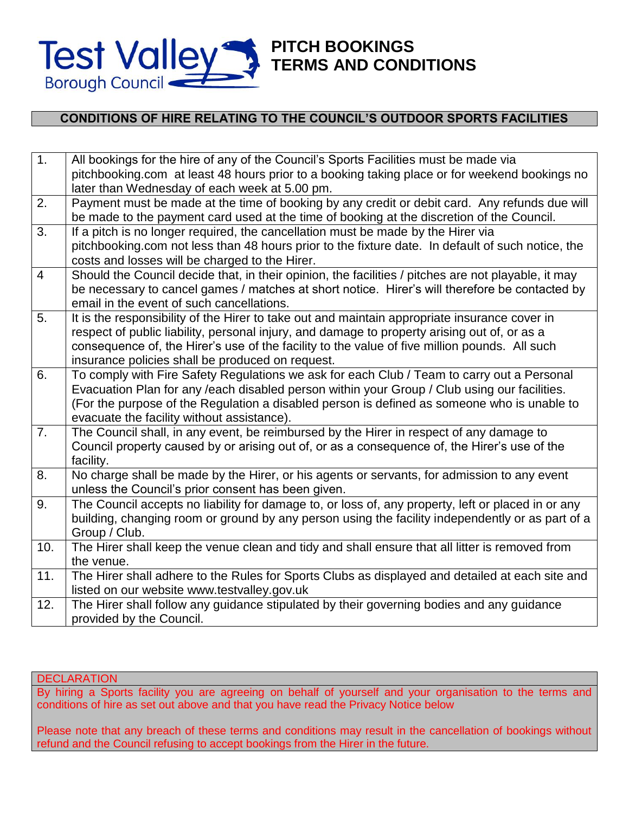

# **PITCH BOOKINGS TERMS AND CONDITIONS**

# **CONDITIONS OF HIRE RELATING TO THE COUNCIL'S OUTDOOR SPORTS FACILITIES**

| 1.             | All bookings for the hire of any of the Council's Sports Facilities must be made via                |
|----------------|-----------------------------------------------------------------------------------------------------|
|                | pitchbooking.com at least 48 hours prior to a booking taking place or for weekend bookings no       |
|                | later than Wednesday of each week at 5.00 pm.                                                       |
| 2.             | Payment must be made at the time of booking by any credit or debit card. Any refunds due will       |
|                | be made to the payment card used at the time of booking at the discretion of the Council.           |
| 3.             | If a pitch is no longer required, the cancellation must be made by the Hirer via                    |
|                | pitchbooking.com not less than 48 hours prior to the fixture date. In default of such notice, the   |
|                | costs and losses will be charged to the Hirer.                                                      |
| $\overline{4}$ | Should the Council decide that, in their opinion, the facilities / pitches are not playable, it may |
|                | be necessary to cancel games / matches at short notice. Hirer's will therefore be contacted by      |
|                | email in the event of such cancellations.                                                           |
| 5.             | It is the responsibility of the Hirer to take out and maintain appropriate insurance cover in       |
|                | respect of public liability, personal injury, and damage to property arising out of, or as a        |
|                | consequence of, the Hirer's use of the facility to the value of five million pounds. All such       |
|                | insurance policies shall be produced on request.                                                    |
| 6.             | To comply with Fire Safety Regulations we ask for each Club / Team to carry out a Personal          |
|                | Evacuation Plan for any /each disabled person within your Group / Club using our facilities.        |
|                | (For the purpose of the Regulation a disabled person is defined as someone who is unable to         |
|                | evacuate the facility without assistance).                                                          |
| 7.             | The Council shall, in any event, be reimbursed by the Hirer in respect of any damage to             |
|                | Council property caused by or arising out of, or as a consequence of, the Hirer's use of the        |
|                | facility.                                                                                           |
| 8.             | No charge shall be made by the Hirer, or his agents or servants, for admission to any event         |
|                | unless the Council's prior consent has been given.                                                  |
| 9.             | The Council accepts no liability for damage to, or loss of, any property, left or placed in or any  |
|                | building, changing room or ground by any person using the facility independently or as part of a    |
|                | Group / Club.                                                                                       |
| 10.            | The Hirer shall keep the venue clean and tidy and shall ensure that all litter is removed from      |
|                | the venue.                                                                                          |
| 11.            | The Hirer shall adhere to the Rules for Sports Clubs as displayed and detailed at each site and     |
|                | listed on our website www.testvalley.gov.uk                                                         |
| 12.            | The Hirer shall follow any guidance stipulated by their governing bodies and any guidance           |
|                | provided by the Council.                                                                            |

#### **DECLARATION**

By hiring a Sports facility you are agreeing on behalf of yourself and your organisation to the terms and conditions of hire as set out above and that you have read the Privacy Notice below

Please note that any breach of these terms and conditions may result in the cancellation of bookings without refund and the Council refusing to accept bookings from the Hirer in the future.